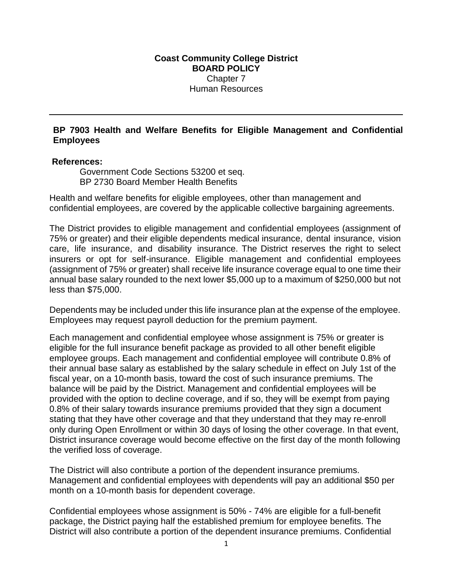## **Coast Community College District BOARD POLICY** Chapter 7 Human Resources

## **BP 7903 Health and Welfare Benefits for Eligible Management and Confidential Employees**

## **References:**

Government Code Sections 53200 et seq. BP 2730 Board Member Health Benefits

Health and welfare benefits for eligible employees, other than management and confidential employees, are covered by the applicable collective bargaining agreements.

The District provides to eligible management and confidential employees (assignment of 75% or greater) and their eligible dependents medical insurance, dental insurance, vision care, life insurance, and disability insurance. The District reserves the right to select insurers or opt for self-insurance. Eligible management and confidential employees (assignment of 75% or greater) shall receive life insurance coverage equal to one time their annual base salary rounded to the next lower \$5,000 up to a maximum of \$250,000 but not less than \$75,000.

Dependents may be included under this life insurance plan at the expense of the employee. Employees may request payroll deduction for the premium payment.

Each management and confidential employee whose assignment is 75% or greater is eligible for the full insurance benefit package as provided to all other benefit eligible employee groups. Each management and confidential employee will contribute 0.8% of their annual base salary as established by the salary schedule in effect on July 1st of the fiscal year, on a 10-month basis, toward the cost of such insurance premiums. The balance will be paid by the District. Management and confidential employees will be provided with the option to decline coverage, and if so, they will be exempt from paying 0.8% of their salary towards insurance premiums provided that they sign a document stating that they have other coverage and that they understand that they may re-enroll only during Open Enrollment or within 30 days of losing the other coverage. In that event, District insurance coverage would become effective on the first day of the month following the verified loss of coverage.

The District will also contribute a portion of the dependent insurance premiums. Management and confidential employees with dependents will pay an additional \$50 per month on a 10-month basis for dependent coverage.

Confidential employees whose assignment is 50% - 74% are eligible for a full-benefit package, the District paying half the established premium for employee benefits. The District will also contribute a portion of the dependent insurance premiums. Confidential